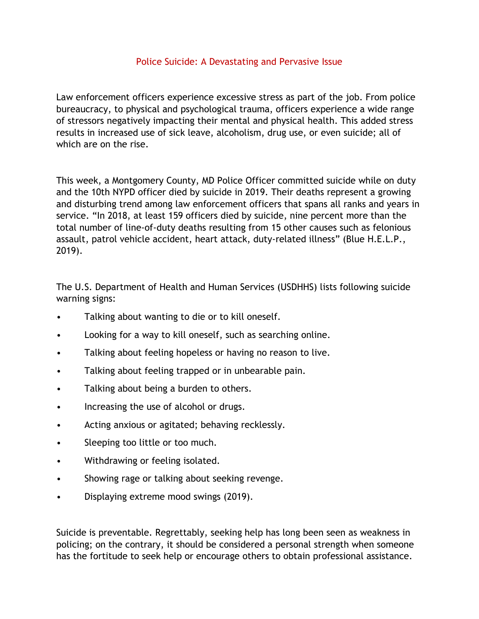## Police Suicide: A Devastating and Pervasive Issue

Law enforcement officers experience excessive stress as part of the job. From police bureaucracy, to physical and psychological trauma, officers experience a wide range of stressors negatively impacting their mental and physical health. This added stress results in increased use of sick leave, alcoholism, drug use, or even suicide; all of which are on the rise.

This week, a Montgomery County, MD Police Officer committed suicide while on duty and the 10th NYPD officer died by suicide in 2019. Their deaths represent a growing and disturbing trend among law enforcement officers that spans all ranks and years in service. "In 2018, at least 159 officers died by suicide, nine percent more than the total number of line-of-duty deaths resulting from 15 other causes such as felonious assault, patrol vehicle accident, heart attack, duty-related illness" (Blue H.E.L.P., 2019).

The U.S. Department of Health and Human Services (USDHHS) lists following suicide warning signs:

- Talking about wanting to die or to kill oneself.
- Looking for a way to kill oneself, such as searching online.
- Talking about feeling hopeless or having no reason to live.
- Talking about feeling trapped or in unbearable pain.
- Talking about being a burden to others.
- Increasing the use of alcohol or drugs.
- Acting anxious or agitated; behaving recklessly.
- Sleeping too little or too much.
- Withdrawing or feeling isolated.
- Showing rage or talking about seeking revenge.
- Displaying extreme mood swings (2019).

Suicide is preventable. Regrettably, seeking help has long been seen as weakness in policing; on the contrary, it should be considered a personal strength when someone has the fortitude to seek help or encourage others to obtain professional assistance.